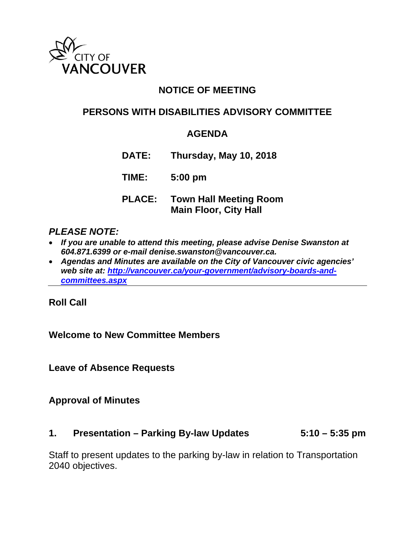

# **NOTICE OF MEETING**

# **PERSONS WITH DISABILITIES ADVISORY COMMITTEE**

## **AGENDA**

**DATE: Thursday, May 10, 2018**

**TIME: 5:00 pm**

**PLACE: Town Hall Meeting Room Main Floor, City Hall** 

#### *PLEASE NOTE:*

- *If you are unable to attend this meeting, please advise Denise Swanston at 604.871.6399 or e-mail denise.swanston@vancouver.ca.*
- *Agendas and Minutes are available on the City of Vancouver civic agencies' web site at: http://vancouver.ca/your-government/advisory-boards-andcommittees.aspx*

**Roll Call** 

## **Welcome to New Committee Members**

**Leave of Absence Requests** 

## **Approval of Minutes**

#### **1. Presentation – Parking By-law Updates 5:10 – 5:35 pm**

Staff to present updates to the parking by-law in relation to Transportation 2040 objectives.